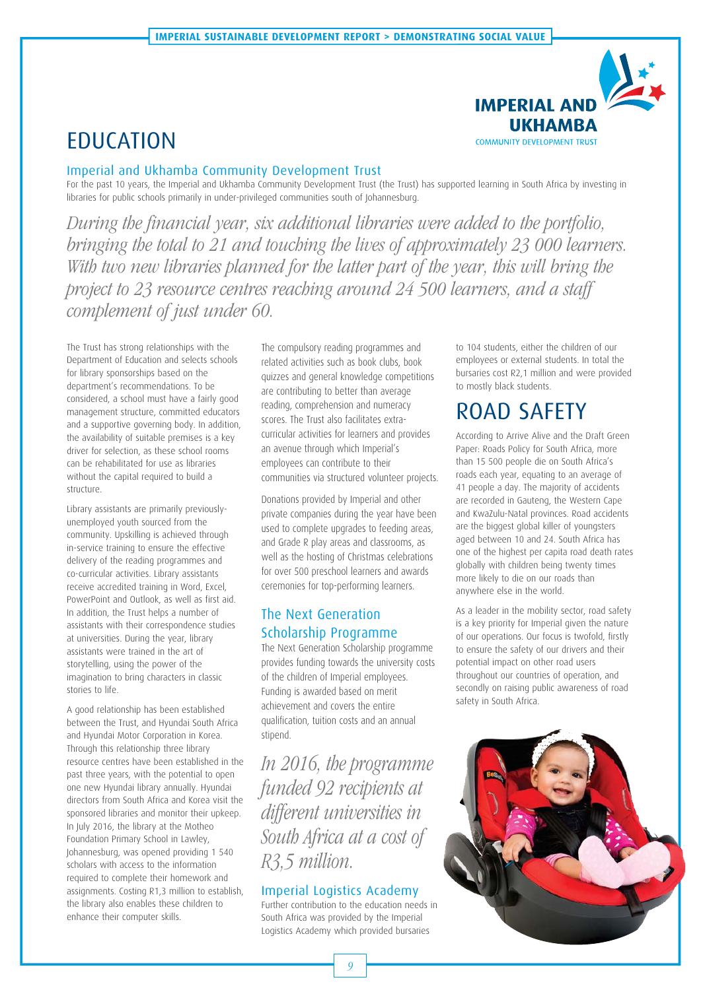

# EDUCATION

### Imperial and Ukhamba Community Development Trust

For the past 10 years, the Imperial and Ukhamba Community Development Trust (the Trust) has supported learning in South Africa by investing in libraries for public schools primarily in under-privileged communities south of Johannesburg.

During the financial year, six additional libraries were added to the portfolio, bringing the total to 21 and touching the lives of approximately 23 000 learners. With two new libraries planned for the latter part of the year, this will bring the project to 23 resource centres reaching around 24 500 learners, and a staff complement of just under 60.

The Trust has strong relationships with the Department of Education and selects schools for library sponsorships based on the department's recommendations. To be considered, a school must have a fairly good management structure, committed educators and a supportive governing body. In addition, the availability of suitable premises is a key driver for selection, as these school rooms can be rehabilitated for use as libraries without the capital required to build a structure.

Library assistants are primarily previouslyunemployed youth sourced from the community. Upskilling is achieved through in-service training to ensure the effective delivery of the reading programmes and co-curricular activities. Library assistants receive accredited training in Word, Excel, PowerPoint and Outlook, as well as first aid. In addition, the Trust helps a number of assistants with their correspondence studies at universities. During the year, library assistants were trained in the art of storytelling, using the power of the imagination to bring characters in classic stories to life.

A good relationship has been established between the Trust, and Hyundai South Africa and Hyundai Motor Corporation in Korea. Through this relationship three library resource centres have been established in the past three years, with the potential to open one new Hyundai library annually. Hyundai directors from South Africa and Korea visit the sponsored libraries and monitor their upkeep. In July 2016, the library at the Motheo Foundation Primary School in Lawley, Johannesburg, was opened providing 1 540 scholars with access to the information required to complete their homework and assignments. Costing R1,3 million to establish, the library also enables these children to enhance their computer skills.

The compulsory reading programmes and related activities such as book clubs, book quizzes and general knowledge competitions are contributing to better than average reading, comprehension and numeracy scores. The Trust also facilitates extracurricular activities for learners and provides an avenue through which Imperial's employees can contribute to their communities via structured volunteer projects.

Donations provided by Imperial and other private companies during the year have been used to complete upgrades to feeding areas, and Grade R play areas and classrooms, as well as the hosting of Christmas celebrations for over 500 preschool learners and awards ceremonies for top-performing learners.

## The Next Generation Scholarship Programme

The Next Generation Scholarship programme provides funding towards the university costs of the children of Imperial employees. Funding is awarded based on merit achievement and covers the entire qualification, tuition costs and an annual stipend.

In 2016, the programme funded 92 recipients at different universities in South Africa at a cost of R3,5 million.

### Imperial Logistics Academy

Further contribution to the education needs in South Africa was provided by the Imperial Logistics Academy which provided bursaries

to 104 students, either the children of our employees or external students. In total the bursaries cost R2,1 million and were provided to mostly black students.

# ROAD SAFETY

According to Arrive Alive and the Draft Green Paper: Roads Policy for South Africa, more than 15 500 people die on South Africa's roads each year, equating to an average of 41 people a day. The majority of accidents are recorded in Gauteng, the Western Cape and KwaZulu-Natal provinces. Road accidents are the biggest global killer of youngsters aged between 10 and 24. South Africa has one of the highest per capita road death rates globally with children being twenty times more likely to die on our roads than anywhere else in the world.

As a leader in the mobility sector, road safety is a key priority for Imperial given the nature of our operations. Our focus is twofold, firstly to ensure the safety of our drivers and their potential impact on other road users throughout our countries of operation, and secondly on raising public awareness of road safety in South Africa.